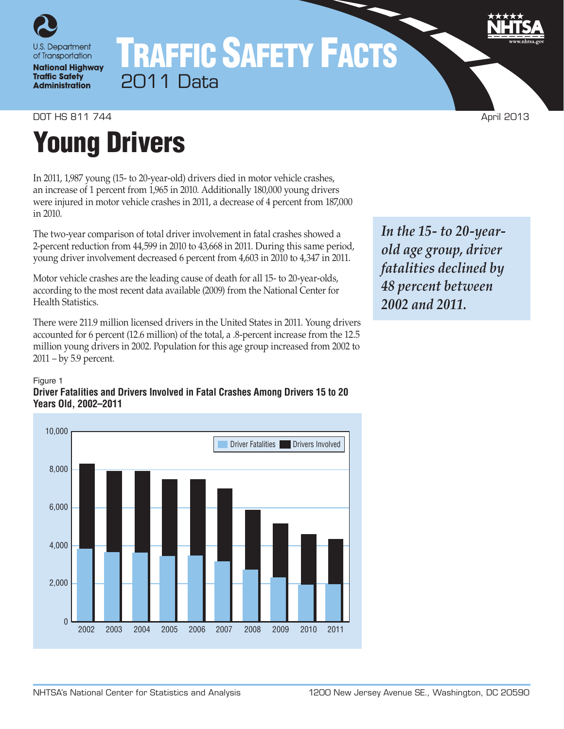

# TRAFFIC SAFETY FACTS 2011 Data

# **DOT HS 811 744 April 2013**

# Young Drivers

In 2011, 1,987 young (15- to 20-year-old) drivers died in motor vehicle crashes, an increase of 1 percent from 1,965 in 2010. Additionally 180,000 young drivers were injured in motor vehicle crashes in 2011, a decrease of 4 percent from 187,000 in 2010.

The two-year comparison of total driver involvement in fatal crashes showed a 2-percent reduction from 44,599 in 2010 to 43,668 in 2011. During this same period, young driver involvement decreased 6 percent from 4,603 in 2010 to 4,347 in 2011.

Motor vehicle crashes are the leading cause of death for all 15- to 20-year-olds, according to the most recent data available (2009) from the National Center for Health Statistics.

There were 211.9 million licensed drivers in the United States in 2011. Young drivers accounted for 6 percent (12.6 million) of the total, a .8-percent increase from the 12.5 million young drivers in 2002. Population for this age group increased from 2002 to 2011 – by 5.9 percent.

#### Figure 1

### **Driver Fatalities and Drivers Involved in Fatal Crashes Among Drivers 15 to 20 Years Old, 2002–2011**



*In the 15- to 20-yearold age group, driver fatalities declined by 48 percent between 2002 and 2011.*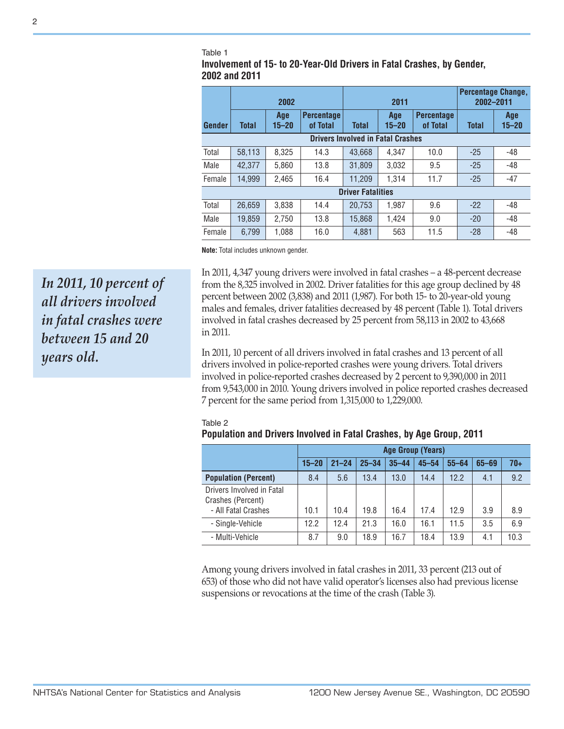#### Table 1

Table 2

**Involvement of 15- to 20-Year-Old Drivers in Fatal Crashes, by Gender, 2002 and 2011**

|                                          | 2002         |                  |                               | 2011         |                  |                               | Percentage Change,<br>2002-2011 |                  |
|------------------------------------------|--------------|------------------|-------------------------------|--------------|------------------|-------------------------------|---------------------------------|------------------|
| Gender                                   | <b>Total</b> | Age<br>$15 - 20$ | <b>Percentage</b><br>of Total | <b>Total</b> | Age<br>$15 - 20$ | <b>Percentage</b><br>of Total | <b>Total</b>                    | Age<br>$15 - 20$ |
| <b>Drivers Involved in Fatal Crashes</b> |              |                  |                               |              |                  |                               |                                 |                  |
| Total                                    | 58,113       | 8,325            | 14.3                          | 43.668       | 4.347            | 10.0                          | $-25$                           | $-48$            |
| Male                                     | 42.377       | 5.860            | 13.8                          | 31.809       | 3.032            | 9.5                           | $-25$                           | $-48$            |
| Female                                   | 14.999       | 2.465            | 16.4                          | 11.209       | 1.314            | 11.7                          | $-25$                           | $-47$            |
| <b>Driver Fatalities</b>                 |              |                  |                               |              |                  |                               |                                 |                  |
| Total                                    | 26.659       | 3.838            | 14.4                          | 20.753       | 1.987            | 9.6                           | $-22$                           | -48              |
| Male                                     | 19.859       | 2.750            | 13.8                          | 15.868       | 1.424            | 9.0                           | $-20$                           | $-48$            |
| Female                                   | 6,799        | 1.088            | 16.0                          | 4,881        | 563              | 11.5                          | $-28$                           | $-48$            |

**Note:** Total includes unknown gender.

In 2011, 4,347 young drivers were involved in fatal crashes – a 48-percent decrease from the 8,325 involved in 2002. Driver fatalities for this age group declined by 48 percent between 2002 (3,838) and 2011 (1,987). For both 15- to 20-year-old young males and females, driver fatalities decreased by 48 percent (Table 1). Total drivers involved in fatal crashes decreased by 25 percent from 58,113 in 2002 to 43,668 in 2011.

**Population and Drivers Involved in Fatal Crashes, by Age Group, 2011**

In 2011, 10 percent of all drivers involved in fatal crashes and 13 percent of all drivers involved in police-reported crashes were young drivers. Total drivers involved in police-reported crashes decreased by 2 percent to 9,390,000 in 2011 from 9,543,000 in 2010. Young drivers involved in police reported crashes decreased 7 percent for the same period from 1,315,000 to 1,229,000.

| PODUIAUON AND DRIVERS INVOIVED IN FAIAI GRASHES, DY AGE GROUD, ZUTT   |           |                          |           |           |           |           |           |       |  |
|-----------------------------------------------------------------------|-----------|--------------------------|-----------|-----------|-----------|-----------|-----------|-------|--|
|                                                                       |           | <b>Age Group (Years)</b> |           |           |           |           |           |       |  |
|                                                                       | $15 - 20$ | $21 - 24$                | $25 - 34$ | $35 - 44$ | $45 - 54$ | $55 - 64$ | $65 - 69$ | $70+$ |  |
| <b>Population (Percent)</b>                                           | 8.4       | 5.6                      | 13.4      | 13.0      | 14.4      | 12.2      | 4.1       | 9.2   |  |
| Drivers Involved in Fatal<br>Crashes (Percent)<br>- All Fatal Crashes | 10.1      | 10.4                     | 19.8      | 16.4      | 17.4      | 12.9      | 3.9       | 8.9   |  |
| - Single-Vehicle                                                      | 12.2      | 12.4                     | 21.3      | 16.0      | 16.1      | 11.5      | 3.5       | 6.9   |  |
| - Multi-Vehicle                                                       | 8.7       | 9.0                      | 18.9      | 16.7      | 18.4      | 13.9      | 4.1       | 10.3  |  |

## Among young drivers involved in fatal crashes in 2011, 33 percent (213 out of 653) of those who did not have valid operator's licenses also had previous license suspensions or revocations at the time of the crash (Table 3).

*In 2011, 10 percent of all drivers involved in fatal crashes were between 15 and 20 years old.*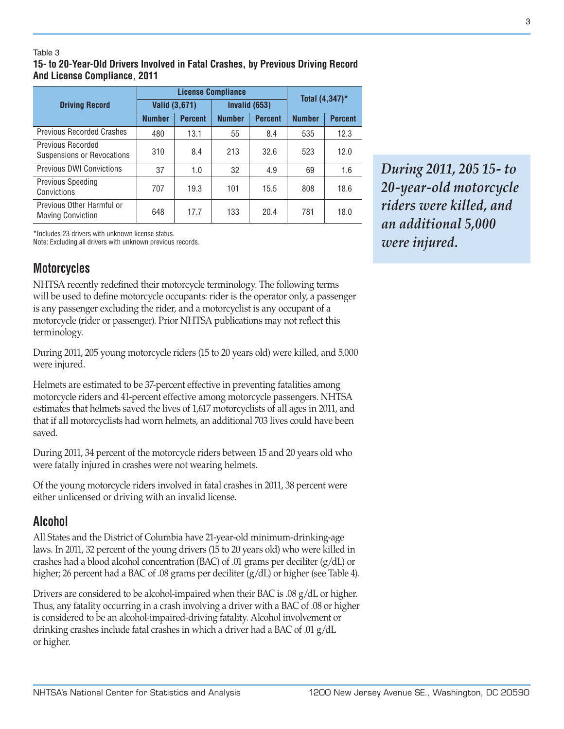#### Table 3

## **15- to 20-Year-Old Drivers Involved in Fatal Crashes, by Previous Driving Record And License Compliance, 2011**

|                                                        |               | <b>License Compliance</b> | Total $(4,347)^*$ |                |               |                |
|--------------------------------------------------------|---------------|---------------------------|-------------------|----------------|---------------|----------------|
| <b>Driving Record</b>                                  | Valid (3,671) |                           |                   | Invalid (653)  |               |                |
|                                                        | <b>Number</b> | <b>Percent</b>            | <b>Number</b>     | <b>Percent</b> | <b>Number</b> | <b>Percent</b> |
| <b>Previous Recorded Crashes</b>                       | 480           | 13.1                      | 55                | 8.4            | 535           | 12.3           |
| <b>Previous Recorded</b><br>Suspensions or Revocations | 310           | 8.4                       | 213               | 32.6           | 523           | 12.0           |
| Previous DWI Convictions                               | 37            | 1.0                       | 32                | 4.9            | 69            | 1.6            |
| <b>Previous Speeding</b><br>Convictions                | 707           | 19.3                      | 101               | 15.5           | 808           | 18.6           |
| Previous Other Harmful or<br><b>Moving Conviction</b>  | 648           | 17.7                      | 133               | 20.4           | 781           | 18.0           |

\*Includes 23 drivers with unknown license status.

Note: Excluding all drivers with unknown previous records.

## **Motorcycles**

NHTSA recently redefined their motorcycle terminology. The following terms will be used to define motorcycle occupants: rider is the operator only, a passenger is any passenger excluding the rider, and a motorcyclist is any occupant of a motorcycle (rider or passenger). Prior NHTSA publications may not reflect this terminology.

During 2011, 205 young motorcycle riders (15 to 20 years old) were killed, and 5,000 were injured.

Helmets are estimated to be 37-percent effective in preventing fatalities among motorcycle riders and 41-percent effective among motorcycle passengers. NHTSA estimates that helmets saved the lives of 1,617 motorcyclists of all ages in 2011, and that if all motorcyclists had worn helmets, an additional 703 lives could have been saved.

During 2011, 34 percent of the motorcycle riders between 15 and 20 years old who were fatally injured in crashes were not wearing helmets.

Of the young motorcycle riders involved in fatal crashes in 2011, 38 percent were either unlicensed or driving with an invalid license.

## **Alcohol**

All States and the District of Columbia have 21-year-old minimum-drinking-age laws. In 2011, 32 percent of the young drivers (15 to 20 years old) who were killed in crashes had a blood alcohol concentration (BAC) of .01 grams per deciliter (g/dL) or higher; 26 percent had a BAC of .08 grams per deciliter (g/dL) or higher (see Table 4).

Drivers are considered to be alcohol-impaired when their BAC is .08 g/dL or higher. Thus, any fatality occurring in a crash involving a driver with a BAC of .08 or higher is considered to be an alcohol-impaired-driving fatality. Alcohol involvement or drinking crashes include fatal crashes in which a driver had a BAC of .01 g/dL or higher.

*During 2011, 205 15- to 20-year-old motorcycle riders were killed, and an additional 5,000 were injured.*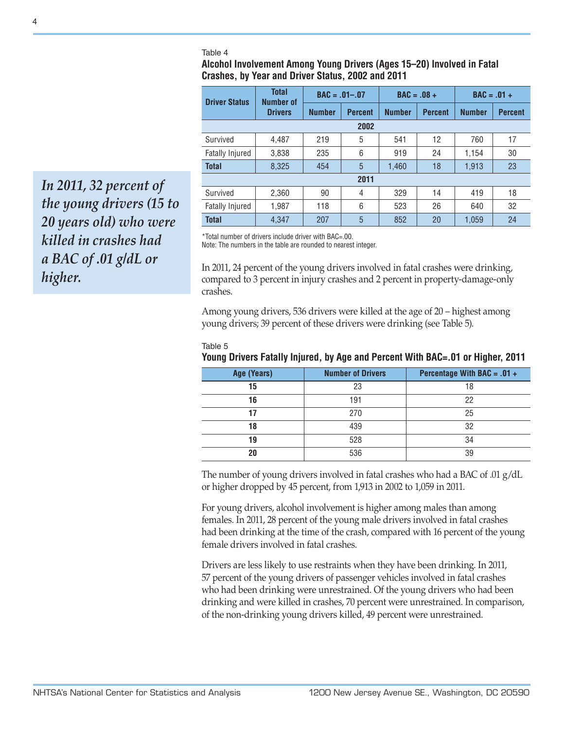#### Table 4

**Alcohol Involvement Among Young Drivers (Ages 15–20) Involved in Fatal Crashes, by Year and Driver Status, 2002 and 2011**

| <b>Driver Status</b>   | <b>Total</b><br><b>Number of</b> | $BAC = .01-.07$ |                | $BAC = .08 +$ |                | $BAC = .01 +$ |                |
|------------------------|----------------------------------|-----------------|----------------|---------------|----------------|---------------|----------------|
|                        | <b>Drivers</b>                   | <b>Number</b>   | <b>Percent</b> | <b>Number</b> | <b>Percent</b> | <b>Number</b> | <b>Percent</b> |
| 2002                   |                                  |                 |                |               |                |               |                |
| Survived               | 4.487                            | 219             | 5              | 541           | 12             | 760           | 17             |
| <b>Fatally Injured</b> | 3,838                            | 235             | 6              | 919           | 24             | 1,154         | 30             |
| <b>Total</b>           | 8,325                            | 454             | 5              | 1,460         | 18             | 1,913         | 23             |
|                        |                                  |                 | 2011           |               |                |               |                |
| Survived               | 2,360                            | 90              | 4              | 329           | 14             | 419           | 18             |
| <b>Fatally Injured</b> | 1,987                            | 118             | 6              | 523           | 26             | 640           | 32             |
| <b>Total</b>           | 4,347                            | 207             | 5              | 852           | 20             | 1,059         | 24             |

\*Total number of drivers include driver with BAC=.00.

Note: The numbers in the table are rounded to nearest integer.

In 2011, 24 percent of the young drivers involved in fatal crashes were drinking, compared to 3 percent in injury crashes and 2 percent in property-damage-only crashes.

Among young drivers, 536 drivers were killed at the age of 20 – highest among young drivers; 39 percent of these drivers were drinking (see Table 5).

|--|--|--|--|--|

## **Young Drivers Fatally Injured, by Age and Percent With BAC=.01 or Higher, 2011**

| Age (Years) | <b>Number of Drivers</b> | Percentage With BAC = $.01 +$ |
|-------------|--------------------------|-------------------------------|
| 15          | 23                       | 18                            |
| 16          | 191                      | 22                            |
|             | 270                      | 25                            |
| 18          | 439                      | 32                            |
| 19          | 528                      | 34                            |
| 20          | 536                      | 39                            |

The number of young drivers involved in fatal crashes who had a BAC of .01  $g/dL$ or higher dropped by 45 percent, from 1,913 in 2002 to 1,059 in 2011.

For young drivers, alcohol involvement is higher among males than among females. In 2011, 28 percent of the young male drivers involved in fatal crashes had been drinking at the time of the crash, compared with 16 percent of the young female drivers involved in fatal crashes.

Drivers are less likely to use restraints when they have been drinking. In 2011, 57 percent of the young drivers of passenger vehicles involved in fatal crashes who had been drinking were unrestrained. Of the young drivers who had been drinking and were killed in crashes, 70 percent were unrestrained. In comparison, of the non-drinking young drivers killed, 49 percent were unrestrained.

*In 2011, 32 percent of the young drivers (15 to 20 years old) who were killed in crashes had a BAC of .01 g/dL or higher.*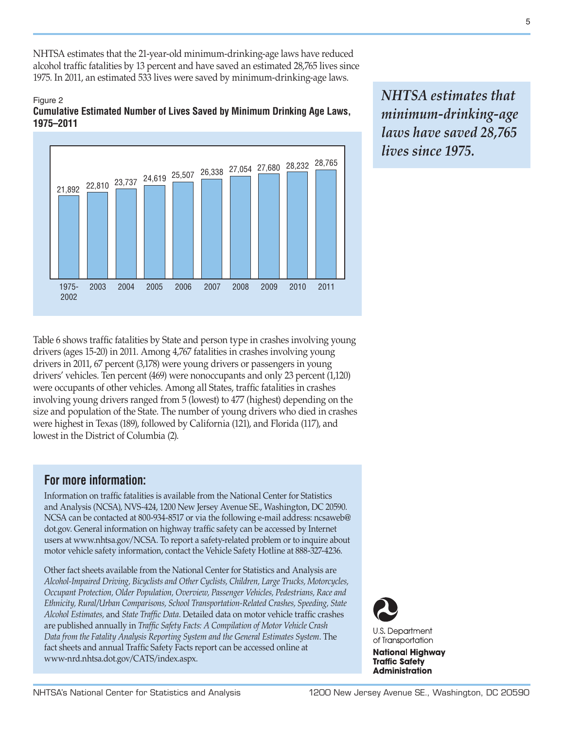NHTSA estimates that the 21-year-old minimum-drinking-age laws have reduced alcohol traffic fatalities by 13 percent and have saved an estimated 28,765 lives since 1975. In 2011, an estimated 533 lives were saved by minimum-drinking-age laws.

#### Figure 2 **Cumulative Estimated Number of Lives Saved by Minimum Drinking Age Laws, 1975–2011**



Table 6 shows traffic fatalities by State and person type in crashes involving young drivers (ages 15-20) in 2011. Among 4,767 fatalities in crashes involving young drivers in 2011, 67 percent (3,178) were young drivers or passengers in young drivers' vehicles. Ten percent (469) were nonoccupants and only 23 percent (1,120) were occupants of other vehicles. Among all States, traffic fatalities in crashes involving young drivers ranged from 5 (lowest) to 477 (highest) depending on the size and population of the State. The number of young drivers who died in crashes were highest in Texas (189), followed by California (121), and Florida (117), and lowest in the District of Columbia (2).

# **For more information:**

Information on traffic fatalities is available from the National Center for Statistics and Analysis (NCSA), NVS-424, 1200 New Jersey Avenue SE., Washington, DC 20590. NCSA can be contacted at 800-934-8517 or via the following e-mail address: [ncsaweb@](mailto:ncsaweb%40dot.gov?subject=) [dot.gov](mailto:ncsaweb%40dot.gov?subject=). General information on highway traffic safety can be accessed by Internet users at [www.nhtsa.gov/NCSA.](www.nhtsa.gov/NCSA) To report a safety-related problem or to inquire about motor vehicle safety information, contact the Vehicle Safety Hotline at 888-327-4236.

Other fact sheets available from the National Center for Statistics and Analysis are *Alcohol-Impaired Driving, Bicyclists and Other Cyclists, Children, Large Trucks, Motorcycles, Occupant Protection, Older Population, Overview, Passenger Vehicles, Pedestrians, Race and Ethnicity, Rural/Urban Comparisons, School Transportation-Related Crashes, Speeding, State Alcohol Estimates,* and *State Traffic Data*. Detailed data on motor vehicle traffic crashes are published annually in *Traffic Safety Facts: A Compilation of Motor Vehicle Crash Data from the Fatality Analysis Reporting System and the General Estimates System*. The fact sheets and annual Traffic Safety Facts report can be accessed online at [www-nrd.nhtsa.dot.gov/CATS/index.aspx.](http://www-nrd.nhtsa.dot.gov/CATS/index.aspx)

*NHTSA estimates that minimum-drinking-age laws have saved 28,765 lives since 1975.*



**National Highway Traffic Safety Administration**